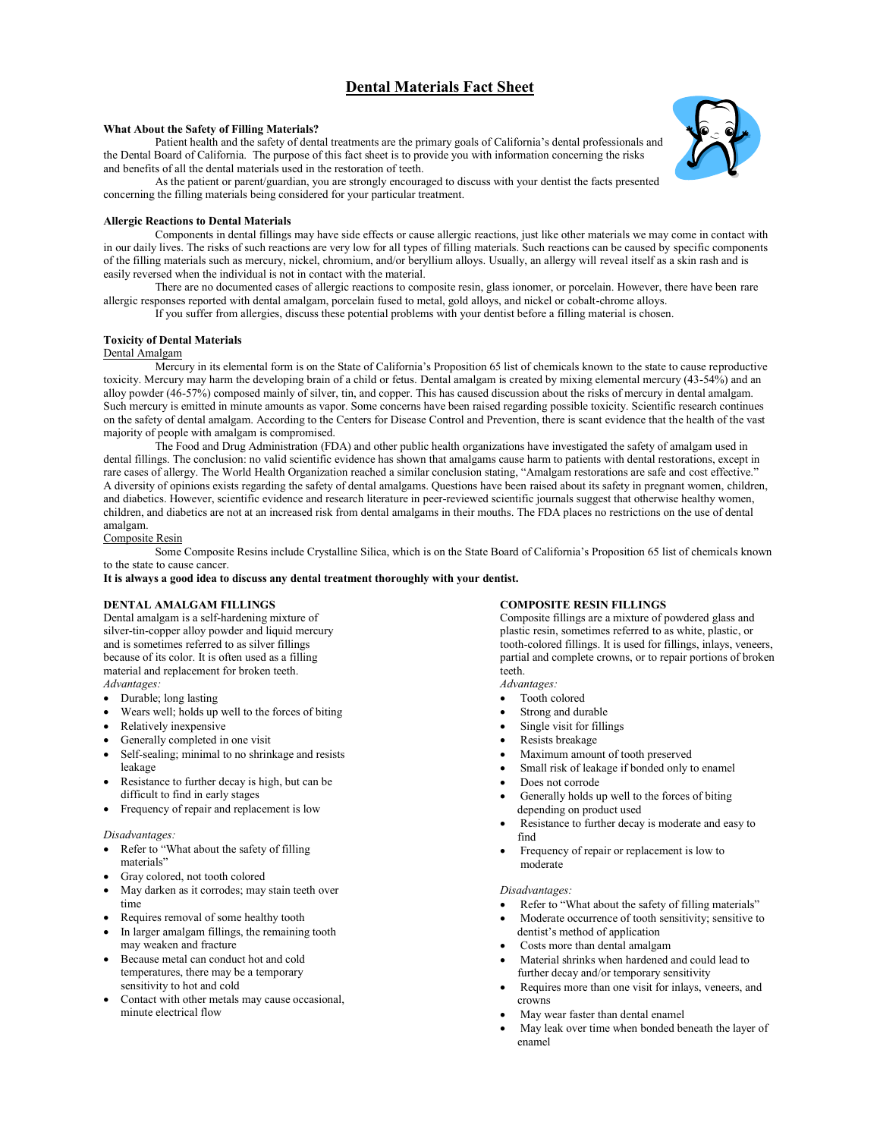# **Dental Materials Fact Sheet**

### **What About the Safety of Filling Materials?**

Patient health and the safety of dental treatments are the primary goals of California's dental professionals and the Dental Board of California. The purpose of this fact sheet is to provide you with information concerning the risks and benefits of all the dental materials used in the restoration of teeth.

As the patient or parent/guardian, you are strongly encouraged to discuss with your dentist the facts presented concerning the filling materials being considered for your particular treatment.

#### **Allergic Reactions to Dental Materials**

Components in dental fillings may have side effects or cause allergic reactions, just like other materials we may come in contact with in our daily lives. The risks of such reactions are very low for all types of filling materials. Such reactions can be caused by specific components of the filling materials such as mercury, nickel, chromium, and/or beryllium alloys. Usually, an allergy will reveal itself as a skin rash and is easily reversed when the individual is not in contact with the material.

There are no documented cases of allergic reactions to composite resin, glass ionomer, or porcelain. However, there have been rare allergic responses reported with dental amalgam, porcelain fused to metal, gold alloys, and nickel or cobalt-chrome alloys.

If you suffer from allergies, discuss these potential problems with your dentist before a filling material is chosen.

#### **Toxicity of Dental Materials**

## Dental Amalgam

Mercury in its elemental form is on the State of California's Proposition 65 list of chemicals known to the state to cause reproductive toxicity. Mercury may harm the developing brain of a child or fetus. Dental amalgam is created by mixing elemental mercury (43-54%) and an alloy powder (46-57%) composed mainly of silver, tin, and copper. This has caused discussion about the risks of mercury in dental amalgam. Such mercury is emitted in minute amounts as vapor. Some concerns have been raised regarding possible toxicity. Scientific research continues on the safety of dental amalgam. According to the Centers for Disease Control and Prevention, there is scant evidence that the health of the vast majority of people with amalgam is compromised.

The Food and Drug Administration (FDA) and other public health organizations have investigated the safety of amalgam used in dental fillings. The conclusion: no valid scientific evidence has shown that amalgams cause harm to patients with dental restorations, except in rare cases of allergy. The World Health Organization reached a similar conclusion stating, "Amalgam restorations are safe and cost effective." A diversity of opinions exists regarding the safety of dental amalgams. Questions have been raised about its safety in pregnant women, children, and diabetics. However, scientific evidence and research literature in peer-reviewed scientific journals suggest that otherwise healthy women, children, and diabetics are not at an increased risk from dental amalgams in their mouths. The FDA places no restrictions on the use of dental amalgam.

#### Composite Resin

Some Composite Resins include Crystalline Silica, which is on the State Board of California's Proposition 65 list of chemicals known to the state to cause cancer.

**It is always a good idea to discuss any dental treatment thoroughly with your dentist.**

## **DENTAL AMALGAM FILLINGS**

Dental amalgam is a self-hardening mixture of silver-tin-copper alloy powder and liquid mercury and is sometimes referred to as silver fillings because of its color. It is often used as a filling material and replacement for broken teeth. *Advantages:*

- Durable; long lasting
- Wears well; holds up well to the forces of biting
- Relatively inexpensive
- Generally completed in one visit
- Self-sealing; minimal to no shrinkage and resists leakage
- Resistance to further decay is high, but can be difficult to find in early stages
- Frequency of repair and replacement is low

#### *Disadvantages:*

- Refer to "What about the safety of filling materials"
- Gray colored, not tooth colored
- May darken as it corrodes; may stain teeth over time
- Requires removal of some healthy tooth
- In larger amalgam fillings, the remaining tooth may weaken and fracture
- Because metal can conduct hot and cold temperatures, there may be a temporary sensitivity to hot and cold
- Contact with other metals may cause occasional, minute electrical flow

#### **COMPOSITE RESIN FILLINGS**

Composite fillings are a mixture of powdered glass and plastic resin, sometimes referred to as white, plastic, or tooth-colored fillings. It is used for fillings, inlays, veneers, partial and complete crowns, or to repair portions of broken teeth.

- *Advantages:*
- Tooth colored
- Strong and durable
- Single visit for fillings
- Resists breakage
- Maximum amount of tooth preserved
- Small risk of leakage if bonded only to enamel
- Does not corrode
- Generally holds up well to the forces of biting depending on product used
- Resistance to further decay is moderate and easy to find
- Frequency of repair or replacement is low to moderate

### *Disadvantages:*

- Refer to "What about the safety of filling materials"
- Moderate occurrence of tooth sensitivity; sensitive to dentist's method of application
- Costs more than dental amalgam
- Material shrinks when hardened and could lead to further decay and/or temporary sensitivity
- Requires more than one visit for inlays, veneers, and crowns
- May wear faster than dental enamel
- May leak over time when bonded beneath the layer of enamel